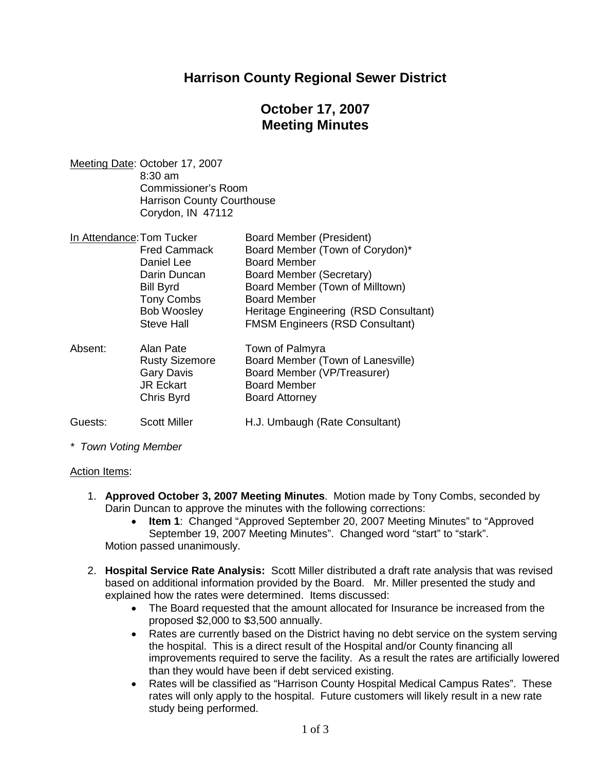### **Harrison County Regional Sewer District**

# **October 17, 2007 Meeting Minutes**

Meeting Date: October 17, 2007 8:30 am Commissioner's Room Harrison County Courthouse Corydon, IN 47112

| In Attendance: Tom Tucker |                       | Board Member (President)               |
|---------------------------|-----------------------|----------------------------------------|
|                           | <b>Fred Cammack</b>   | Board Member (Town of Corydon)*        |
|                           | Daniel Lee            | <b>Board Member</b>                    |
|                           | Darin Duncan          | Board Member (Secretary)               |
|                           | <b>Bill Byrd</b>      | Board Member (Town of Milltown)        |
|                           | <b>Tony Combs</b>     | <b>Board Member</b>                    |
|                           | <b>Bob Woosley</b>    | Heritage Engineering (RSD Consultant)  |
|                           | <b>Steve Hall</b>     | <b>FMSM Engineers (RSD Consultant)</b> |
| Absent:                   | Alan Pate             | Town of Palmyra                        |
|                           | <b>Rusty Sizemore</b> | Board Member (Town of Lanesville)      |
|                           | <b>Gary Davis</b>     | Board Member (VP/Treasurer)            |
|                           | <b>JR Eckart</b>      | <b>Board Member</b>                    |
|                           | Chris Byrd            | <b>Board Attorney</b>                  |
| Guests:                   | <b>Scott Miller</b>   | H.J. Umbaugh (Rate Consultant)         |

*\* Town Voting Member*

#### Action Items:

- 1. **Approved October 3, 2007 Meeting Minutes**. Motion made by Tony Combs, seconded by Darin Duncan to approve the minutes with the following corrections:
	- **Item 1**: Changed "Approved September 20, 2007 Meeting Minutes" to "Approved September 19, 2007 Meeting Minutes". Changed word "start" to "stark". Motion passed unanimously.
- 2. **Hospital Service Rate Analysis:** Scott Miller distributed a draft rate analysis that was revised based on additional information provided by the Board. Mr. Miller presented the study and explained how the rates were determined. Items discussed:
	- The Board requested that the amount allocated for Insurance be increased from the proposed \$2,000 to \$3,500 annually.
	- Rates are currently based on the District having no debt service on the system serving the hospital. This is a direct result of the Hospital and/or County financing all improvements required to serve the facility. As a result the rates are artificially lowered than they would have been if debt serviced existing.
	- Rates will be classified as "Harrison County Hospital Medical Campus Rates". These rates will only apply to the hospital. Future customers will likely result in a new rate study being performed.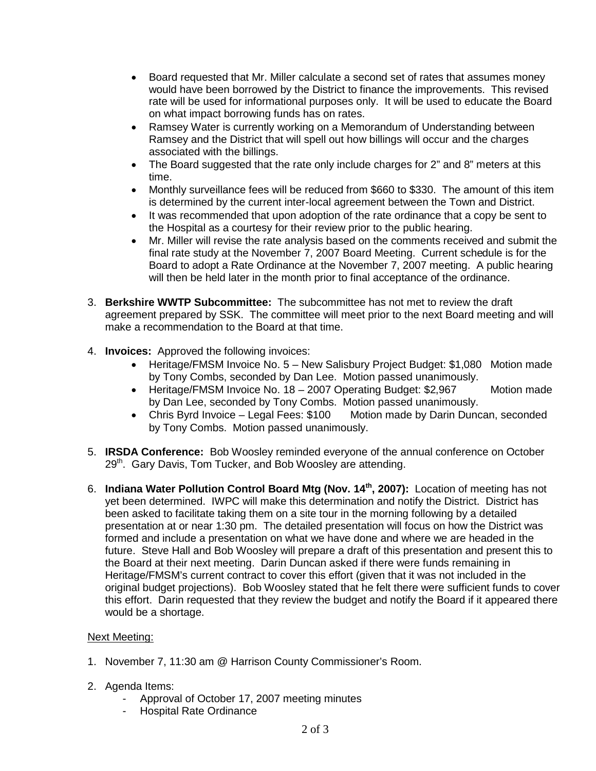- Board requested that Mr. Miller calculate a second set of rates that assumes money would have been borrowed by the District to finance the improvements. This revised rate will be used for informational purposes only. It will be used to educate the Board on what impact borrowing funds has on rates.
- Ramsey Water is currently working on a Memorandum of Understanding between Ramsey and the District that will spell out how billings will occur and the charges associated with the billings.
- The Board suggested that the rate only include charges for 2" and 8" meters at this time.
- Monthly surveillance fees will be reduced from \$660 to \$330. The amount of this item is determined by the current inter-local agreement between the Town and District.
- It was recommended that upon adoption of the rate ordinance that a copy be sent to the Hospital as a courtesy for their review prior to the public hearing.
- Mr. Miller will revise the rate analysis based on the comments received and submit the final rate study at the November 7, 2007 Board Meeting. Current schedule is for the Board to adopt a Rate Ordinance at the November 7, 2007 meeting. A public hearing will then be held later in the month prior to final acceptance of the ordinance.
- 3. **Berkshire WWTP Subcommittee:** The subcommittee has not met to review the draft agreement prepared by SSK. The committee will meet prior to the next Board meeting and will make a recommendation to the Board at that time.
- 4. **Invoices:** Approved the following invoices:
	- Heritage/FMSM Invoice No. 5 New Salisbury Project Budget: \$1,080 Motion made by Tony Combs, seconded by Dan Lee. Motion passed unanimously.
	- Heritage/FMSM Invoice No. 18 2007 Operating Budget: \$2,967 Motion made by Dan Lee, seconded by Tony Combs. Motion passed unanimously.
	- Chris Byrd Invoice Legal Fees: \$100 Motion made by Darin Duncan, seconded by Tony Combs. Motion passed unanimously.
- 5. **IRSDA Conference:** Bob Woosley reminded everyone of the annual conference on October  $29<sup>th</sup>$ . Gary Davis, Tom Tucker, and Bob Woosley are attending.
- 6. **Indiana Water Pollution Control Board Mtg (Nov. 14th, 2007):** Location of meeting has not yet been determined. IWPC will make this determination and notify the District. District has been asked to facilitate taking them on a site tour in the morning following by a detailed presentation at or near 1:30 pm. The detailed presentation will focus on how the District was formed and include a presentation on what we have done and where we are headed in the future. Steve Hall and Bob Woosley will prepare a draft of this presentation and present this to the Board at their next meeting. Darin Duncan asked if there were funds remaining in Heritage/FMSM's current contract to cover this effort (given that it was not included in the original budget projections). Bob Woosley stated that he felt there were sufficient funds to cover this effort. Darin requested that they review the budget and notify the Board if it appeared there would be a shortage.

### Next Meeting:

- 1. November 7, 11:30 am @ Harrison County Commissioner's Room.
- 2. Agenda Items:
	- Approval of October 17, 2007 meeting minutes
	- Hospital Rate Ordinance